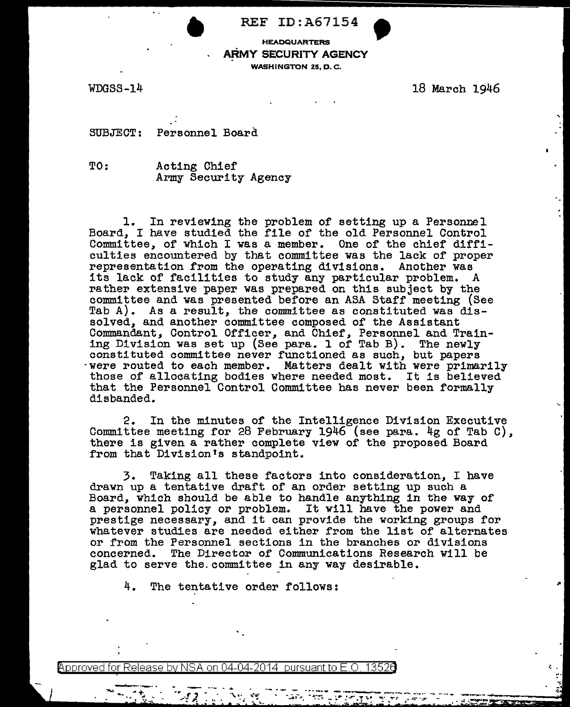REF ID:A67154<br>
HEADQUARTERS<br>
ARMY SECURITY AGENCY<br>
WASHINGTON 25. D.C. ARMY SECURITY AGENCY WASHINGTON 25, D. C.

WDGSS-14 18 March 1946

SUBJECT: Personnel Board

TO: Acting Chief Army Security Agency

1. In reviewing the problem of setting up a Personnel Board, I have studied the file of the old Personnel Control Committee, of which I was a member. One of the chief difficulties encountered by that committee was the lack of proper representation from the operating divisions. Another was its lack of facilities to study any particular problem. A rather extensive paper was prepared on this subject by the committee and was presented before an ASA Staff meeting (See Tab A). As a result, the committee as constituted was dissolved, and another committee composed of the Assistant Commandant, Control Officer, and Chief, Personnel and Training Division was set up (See para. 1 of Tab B). The newly<br>constituted committee never functioned as such, but papers<br>were routed to each member. Matters dealt with were primarily ·were routed to each member. Matters dealt with were primarily those of allocating bodies where needed moat. It is believed that the Personnel Control Committee has never been formally disbanded.

2. In the minutes of the Intelligence Division Executive Committee meeting for 28 February  $1946$  (see para.  $4g$  of Tab C), there is given a rather complete view of the proposed Board from that Division's standpoint.

3. Taking all these factors into consideration, I have drawn up a tentative draft of an order setting up such a Board, which should be able to handle anything in the way of a personnel policy or problem. It will have the power and prestige necessary, and it can provide the working groups for whatever studies are needed either from the list of alternates or from the Personnel sections in the branches or divisions concerned. The Director of Conununications Research will be glad to serve the committee in any way desirable.

4. The tentative order follows:

@'pproved for Release by NSA on 04-04-2014 pursuantto E.O. 1352a

 $-1.5$   $+1.7$   $+1.7$   $+1.7$   $+1.7$   $+1.7$   $+1.7$   $+1.7$   $+1.7$   $+1.7$   $+1.7$   $+1.7$   $+1.7$   $+1.7$   $+1.7$   $+1.7$   $+1.7$   $+1.7$   $+1.7$   $+1.7$   $+1.7$   $+1.7$   $+1.7$   $+1.7$   $+1.7$   $+1.7$   $+1.7$   $+1.7$   $+1.7$   $+1.7$   $+1.7$   $+1.$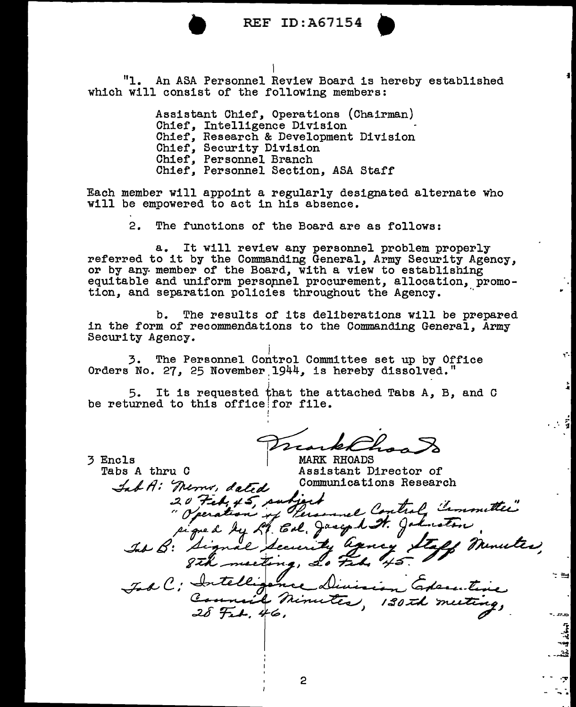

REF ID: A67154

"l. An ASA Personnel Review Board is hereby established which will consist of the following members:

> Assistant Chief, Operations (Chairman) Chief, Intelligence Division Chief, Research & Development Division Chief, Security Division Chief, Personnel Branch Chief, Personnel Section, ASA Staff

Each member will appoint a regularly designated alternate who will be empowered to act in his absence.

2. The functions of the Board are as follows:

a. It will review any personnel problem properly referred to it by the Commanding General, Army Security Agency, or by any member of the Board, with a view to establishing equitable and uniform personnel procurement, allocation, promo-<br>tion, and separation policies throughout the Agency.

b. The results of its deliberations will be prepared in the form of recommendations to the Commanding General, Army Security Agency.

j 3. The Personnel Control Committee set up by Office Orders No. 27, 25 November  $1944$ , is hereby dissolved."

5. It is requested that the attached Tabs A, B, and C be returned to this office for file.

3 Encls Tabs A thru C

**MARK RHOADS** Assistant Director of Communications Research

1.

 $\frac{1}{2}$ .

. \_\_ ......., ~

 $\tau \approx$ 

. - *·;:* 

.<br>.<br>. JI

Inb A: Merry, dated  $20$  ted  $45$  sure rel Control Committee Person Jaknoton Jaaquel IV. Eol. IRC: Intell in Greente Connail 7.<br>28 Feb. 46, Minutes, 130 th meeting,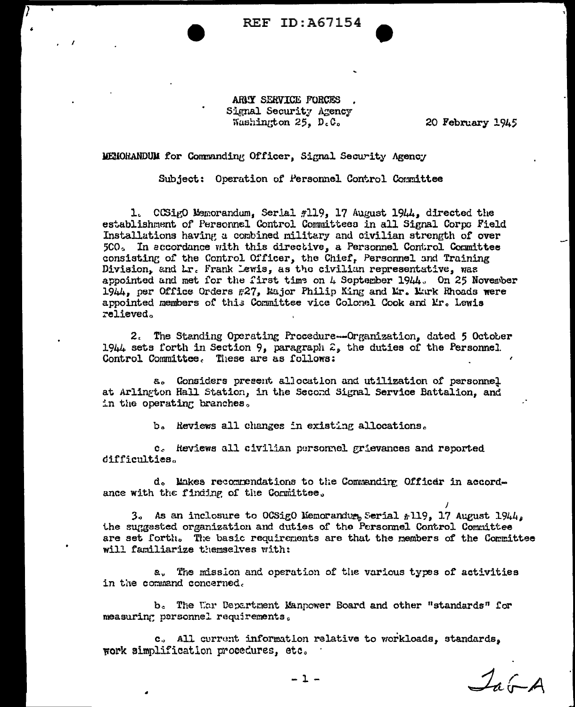

ARMY SERVICE FORCES Signal Security Agency Washington 25, D.C.

20 February 1945

MENORANDUM for Commanding Officer, Signal Security Agency

Subject: Operation of Personnel Control Committee

1. CCSigO Memorandum, Serial #119, 17 August 1944, directed the establishment of Personnel Control Committees in all Signal Corps Field Installations having a combined military and civilian strength of over 500. In accordance with this directive, a Personnel Control Committee consisting of the Control Officer, the Chief, Personnel and Training Division, and Lr. Frank Lewis, as the civilian representative, was appointed and met for the first time on 4 September 1944. On 25 November 1944, per Office Orders #27, Major Philip King and Mr. Mark Rhoads were appointed members of this Committee vice Colonel Cook and Mr. Lewis relieved.

2. The Standing Operating Procedure---Organization, dated 5 October 1944 sets forth in Section 9, paragraph 2, the duties of the Personnel. Control Committee. These are as follows:

a. Considers present allocation and utilization of personnel at Arlington Hall Station, in the Second Signal Service Battalion, and in the operating branches.

b. Reviews all changes in existing allocations.

c. Heviews all civilian personnel grievances and reported difficulties.

d. Makes recommendations to the Commanding Officer in accordance with the finding of the Committee.

3. As an inclosure to OGSigO Memorandum, Serial  $\#119$ , 17 August 1944, the suggested organization and duties of the Personnel Control Committee are set forth. The basic requirements are that the members of the Committee will familiarize themselves with:

a. The mission and operation of the various types of activities in the command concerned.

b. The War Department Manpower Board and other "standards" for measuring personnel requirements.

c. All current information relative to workloads, standards, work simplification procedures, etc.

 $1.6A$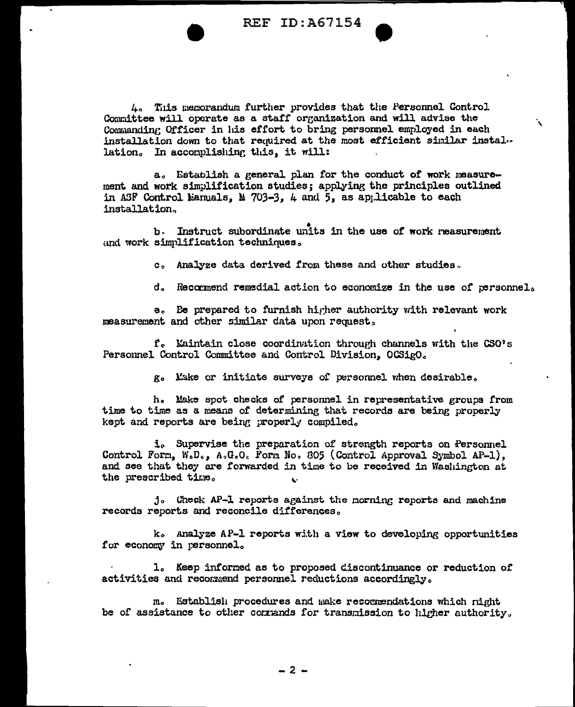**REF ID:A67154** 

4. This memorandum further provides that the Personnel Control Committee will operate as a staff organization and will advise the Commanding Officer in his effort to bring personnel employed in each installation down to that required at the most efficient similar instal. lation. In accomplishing this, it will:

a. Establish a general plan for the conduct of work measurement and work simplification studies; applying the principles outlined in ASF Control Manuals, M 703-3, 4 and 5, as applicable to each installation,

Instruct subordinate units in the use of work reasurement  $\mathbf{b}$ . and work simplification techniques.

c. Analyze data derived from these and other studies.

d. Recommend remedial action to economize in the use of personnel.

 $\lambda$ 

e. Be prepared to furnish higher authority with relevant work measurement and other similar data upon request,

f. Kaintain close coordination through channels with the CSO's Personnel Control Committee and Control Division, OCSigO.

g. Make or initiate surveys of personnel when desirable.

h. Make spot checks of personnel in representative groups from time to time as a means of determining that records are being properly kept and reports are being properly compiled.

i. Supervise the preparation of strength reports on Personnel Control Form. W.D.. A.G.O. Form No. 305 (Control Approval Symbol AP-1). and see that they are forwarded in time to be received in Washington at the prescribed time.

j. Check AP-1 reports against the norning reports and machine records reports and reconcile differences.

k. Analyze AP-1 reports with a view to developing opportunities for economy in personnel.

1. Keep informed as to proposed discontinuance or reduction of activities and recommend personnel reductions accordingly.

m. Establish procedures and make recommendations which right be of assistance to other commands for transmission to higher authority.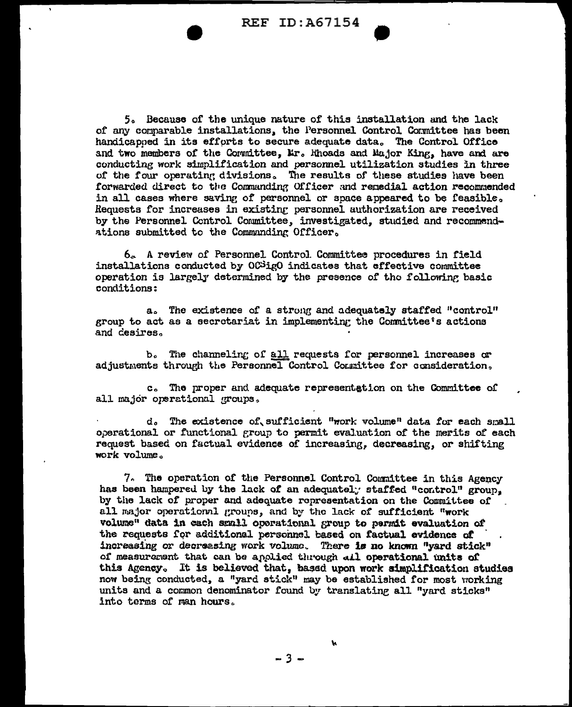**REF ID: A67154** 

5. Because of the unique nature of this installation and the lack of any comparable installations, the Personnel Control Conmittee has been handicapped in its efforts to secure adequate data. The Control Office and two members of the Committee, Mr. Rhoads and Major King, have and are conducting work simplification and personnel utilization studies in three of the four operating divisions. The results of these studies have been forwarded direct to the Commanding Officer and renedial action recommended in all cases where saving of personnel or space appeared to be feasible. Requests for increases in existing personnel authorization are received by the Personnel Control Committee, investigated, studied and recommendations submitted to the Commanding Officer.

6. A review of Personnel Control Committee procedures in field installations conducted by OCSigO indicates that effective committee operation is largely determined by the presence of the following basic conditions:

a. The existence of a strong and adequately staffed "control" group to act as a secretariat in implementing the Committee's actions and desires.

b. The channeling of all requests for personnel increases or adjustments through the Personnel Control Conmittee for consideration,

c. The proper and adequate representation on the Committee of all major operational groups.

d. The existence of sufficient "work volume" data for each small operational or functional group to permit evaluation of the merits of each request based on factual evidence of increasing, decreasing, or shifting work volume.

7. The operation of the Personnel Control Committee in this Agency has been hampered by the lack of an adequately staffed "control" group. by the lack of proper and adequate representation on the Committee of all major operational groups, and by the lack of sufficient "work volume" data in each small operational group to permit evaluation of the requests for additional personnel based on factual evidence of increasing or decreasing work volume. There is no known "yard stick" of measurement that can be apolied through all operational units of this Agency. It is believed that, based upon work simplification studies now being conducted, a "yard stick" may be established for most working units and a common denominator found by translating all "yard sticks" into terms of man hours.

 $-3 -$ 

 $\lambda$